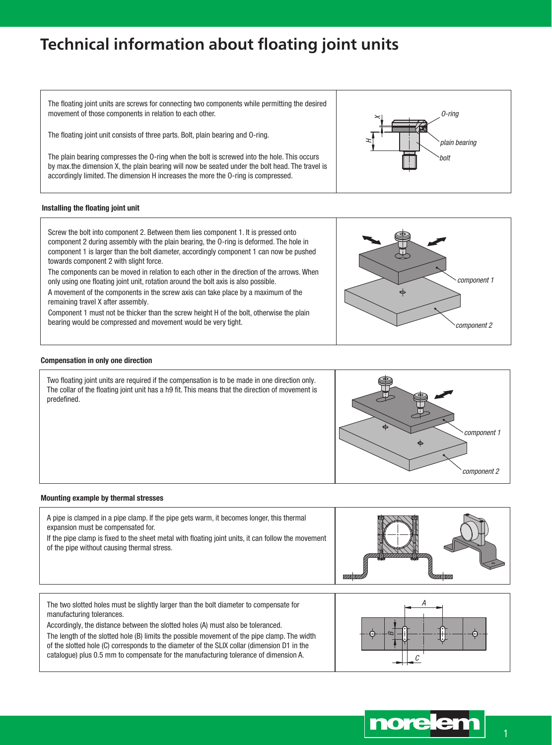# **Technical information about floating joint units**

The floating joint units are screws for connecting two components while permitting the desired movement of those components in relation to each other.

The floating joint unit consists of three parts. Bolt, plain bearing and O-ring.

The plain bearing compresses the O-ring when the bolt is screwed into the hole. This occurs by max.the dimension X, the plain bearing will now be seated under the bolt head. The travel is accordingly limited. The dimension H increases the more the O-ring is compressed.

### Installing the floating joint unit



The components can be moved in relation to each other in the direction of the arrows. When only using one floating joint unit, rotation around the bolt axis is also possible.

A movement of the components in the screw axis can take place by a maximum of the remaining travel X after assembly.

Component 1 must not be thicker than the screw height H of the bolt, otherwise the plain bearing would be compressed and movement would be very tight.

### Compensation in only one direction

Two floating joint units are required if the compensation is to be made in one direction only. The collar of the floating joint unit has a h9 fit. This means that the direction of movement is predefined.



A pipe is clamped in a pipe clamp. If the pipe gets warm, it becomes longer, this thermal expansion must be compensated for.

If the pipe clamp is fixed to the sheet metal with floating joint units, it can follow the movement of the pipe without causing thermal stress.



The two slotted holes must be slightly larger than the bolt diameter to compensate for manufacturing tolerances.

Accordingly, the distance between the slotted holes (A) must also be toleranced. The length of the slotted hole (B) limits the possible movement of the pipe clamp. The width of the slotted hole (C) corresponds to the diameter of the SLIX collar (dimension D1 in the catalogue) plus 0.5 mm to compensate for the manufacturing tolerance of dimension A.



component 1  $\Rightarrow$ component 2

O-ring

bolt

plain bearing

 $\Join$ 

H



1